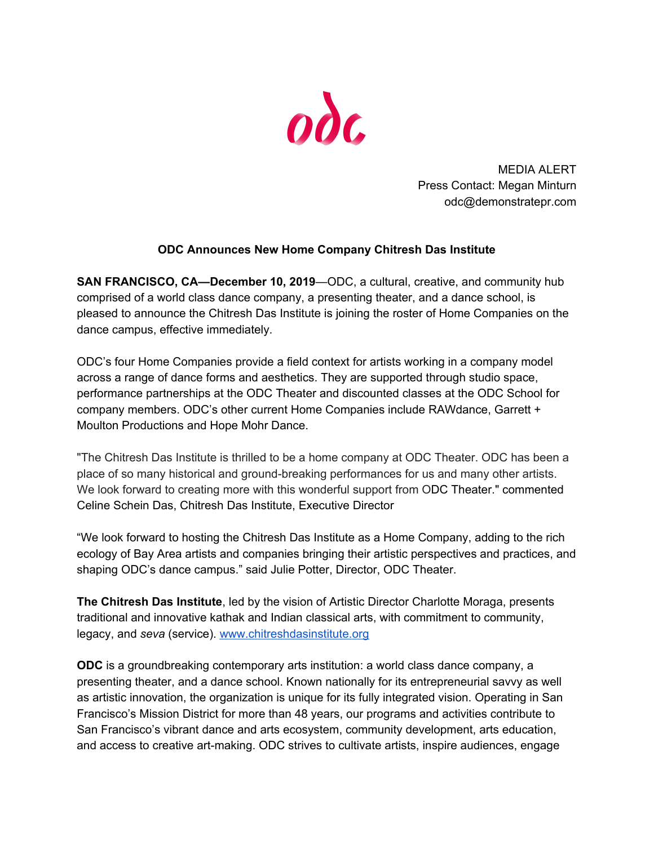

MEDIA ALERT Press Contact: Megan Minturn odc@demonstratepr.com

## **ODC Announces New Home Company Chitresh Das Institute**

**SAN FRANCISCO, CA—December 10, 2019**—ODC, a cultural, creative, and community hub comprised of a world class dance company, a presenting theater, and a dance school, is pleased to announce the Chitresh Das Institute is joining the roster of Home Companies on the dance campus, effective immediately.

ODC's four Home Companies provide a field context for artists working in a company model across a range of dance forms and aesthetics. They are supported through studio space, performance partnerships at the ODC Theater and discounted classes at the ODC School for company members. ODC's other current Home Companies include RAWdance, Garrett + Moulton Productions and Hope Mohr Dance.

"The Chitresh Das Institute is thrilled to be a home company at ODC Theater. ODC has been a place of so many historical and ground-breaking performances for us and many other artists. We look forward to creating more with this wonderful support from ODC Theater." commented Celine Schein Das, Chitresh Das Institute, Executive Director

"We look forward to hosting the Chitresh Das Institute as a Home Company, adding to the rich ecology of Bay Area artists and companies bringing their artistic perspectives and practices, and shaping ODC's dance campus." said Julie Potter, Director, ODC Theater.

**The Chitresh Das Institute**, led by the vision of Artistic Director Charlotte Moraga, presents traditional and innovative kathak and Indian classical arts, with commitment to community, legacy, and *seva* (service). [www.chitreshdasinstitute.org](http://www.chitreshdasinstitute.org/)

**ODC** is a groundbreaking contemporary arts institution: a world class dance company, a presenting theater, and a dance school. Known nationally for its entrepreneurial savvy as well as artistic innovation, the organization is unique for its fully integrated vision. Operating in San Francisco's Mission District for more than 48 years, our programs and activities contribute to San Francisco's vibrant dance and arts ecosystem, community development, arts education, and access to creative art-making. ODC strives to cultivate artists, inspire audiences, engage